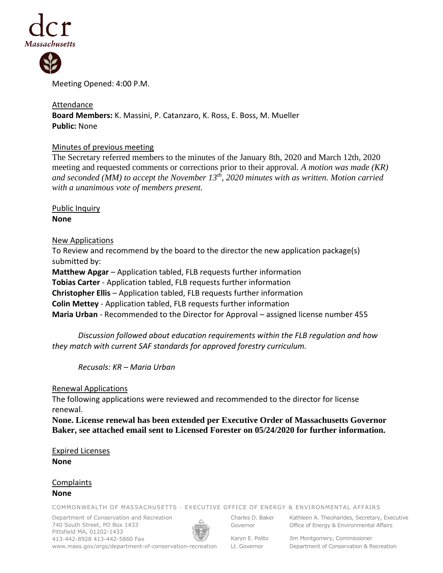



Meeting Opened: 4:00 P.M.

# Attendance

**Board Members:** K. Massini, P. Catanzaro, K. Ross, E. Boss, M. Mueller **Public:** None

# Minutes of previous meeting

The Secretary referred members to the minutes of the January 8th, 2020 and March 12th, 2020 meeting and requested comments or corrections prior to their approval. *A motion was made (KR) and seconded (MM) to accept the November 13th, 2020 minutes with as written. Motion carried with a unanimous vote of members present.*

Public Inquiry **None**

## New Applications

To Review and recommend by the board to the director the new application package(s) submitted by: **Matthew Apgar** – Application tabled, FLB requests further information **Tobias Carter** - Application tabled, FLB requests further information **Christopher Ellis** – Application tabled, FLB requests further information **Colin Mettey** - Application tabled, FLB requests further information **Maria Urban** - Recommended to the Director for Approval – assigned license number 455

*Discussion followed about education requirements within the FLB regulation and how they match with current SAF standards for approved forestry curriculum.*

*Recusals: KR – Maria Urban*

Renewal Applications

The following applications were reviewed and recommended to the director for license renewal.

**None. License renewal has been extended per Executive Order of Massachusetts Governor Baker, see attached email sent to Licensed Forester on 05/24/2020 for further information.**

Expired Licenses **None**

Complaints **None**

COMMONWEALTH OF MASSACHUSETTS · EXECUTIVE OFFICE OF ENERGY & ENVIRONMENTAL AFFAIRS

Department of Conservation and Recreation 740 South Street, PO Box 1433 Pittsfield MA, 01202-1433 413-442-8928 413-442-5860 Fax www.mass.gov/orgs/department-of-conservation-recreation



Charles D. Baker Governor

Karyn E. Polito

Kathleen A. Theoharides, Secretary, Executive Office of Energy & Environmental Affairs

Lt. Governor

Jim Montgomery, Commissioner Department of Conservation & Recreation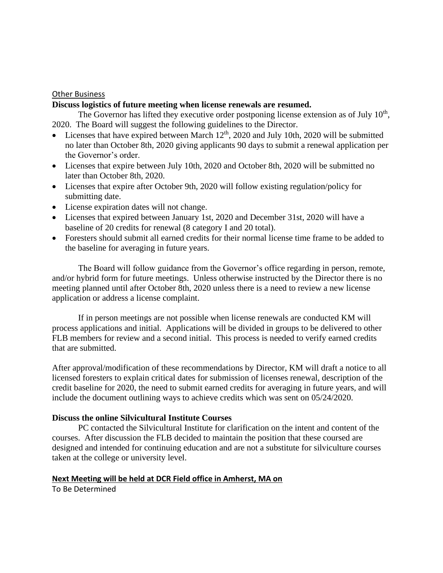#### **Other Business**

#### **Discuss logistics of future meeting when license renewals are resumed.**

The Governor has lifted they executive order postponing license extension as of July  $10<sup>th</sup>$ , 2020. The Board will suggest the following guidelines to the Director.

- Licenses that have expired between March  $12<sup>th</sup>$ , 2020 and July 10th, 2020 will be submitted no later than October 8th, 2020 giving applicants 90 days to submit a renewal application per the Governor's order.
- Licenses that expire between July 10th, 2020 and October 8th, 2020 will be submitted no later than October 8th, 2020.
- Licenses that expire after October 9th, 2020 will follow existing regulation/policy for submitting date.
- License expiration dates will not change.
- Licenses that expired between January 1st, 2020 and December 31st, 2020 will have a baseline of 20 credits for renewal (8 category I and 20 total).
- Foresters should submit all earned credits for their normal license time frame to be added to the baseline for averaging in future years.

The Board will follow guidance from the Governor's office regarding in person, remote, and/or hybrid form for future meetings. Unless otherwise instructed by the Director there is no meeting planned until after October 8th, 2020 unless there is a need to review a new license application or address a license complaint.

If in person meetings are not possible when license renewals are conducted KM will process applications and initial. Applications will be divided in groups to be delivered to other FLB members for review and a second initial. This process is needed to verify earned credits that are submitted.

After approval/modification of these recommendations by Director, KM will draft a notice to all licensed foresters to explain critical dates for submission of licenses renewal, description of the credit baseline for 2020, the need to submit earned credits for averaging in future years, and will include the document outlining ways to achieve credits which was sent on 05/24/2020.

## **Discuss the online Silvicultural Institute Courses**

PC contacted the Silvicultural Institute for clarification on the intent and content of the courses. After discussion the FLB decided to maintain the position that these coursed are designed and intended for continuing education and are not a substitute for silviculture courses taken at the college or university level.

#### **Next Meeting will be held at DCR Field office in Amherst, MA on**

To Be Determined